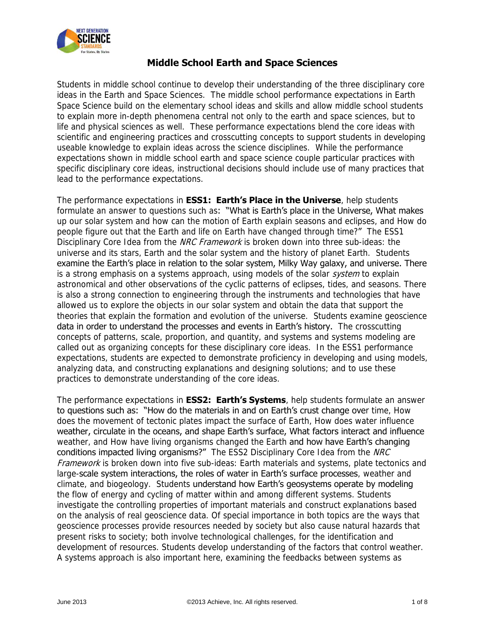

# **Middle School Earth and Space Sciences**

Students in middle school continue to develop their understanding of the three disciplinary core ideas in the Earth and Space Sciences. The middle school performance expectations in Earth Space Science build on the elementary school ideas and skills and allow middle school students to explain more in-depth phenomena central not only to the earth and space sciences, but to life and physical sciences as well. These performance expectations blend the core ideas with scientific and engineering practices and crosscutting concepts to support students in developing useable knowledge to explain ideas across the science disciplines. While the performance expectations shown in middle school earth and space science couple particular practices with specific disciplinary core ideas, instructional decisions should include use of many practices that lead to the performance expectations.

The performance expectations in **ESS1: Earth's Place in the Universe**, help students formulate an answer to questions such as: "What is Earth's place in the Universe, What makes up our solar system and how can the motion of Earth explain seasons and eclipses, and How do people figure out that the Earth and life on Earth have changed through time?" The ESS1 Disciplinary Core Idea from the *NRC Framework* is broken down into three sub-ideas: the universe and its stars, Earth and the solar system and the history of planet Earth. Students examine the Earth's place in relation to the solar system, Milky Way galaxy, and universe. There is a strong emphasis on a systems approach, using models of the solar *system* to explain astronomical and other observations of the cyclic patterns of eclipses, tides, and seasons. There is also a strong connection to engineering through the instruments and technologies that have allowed us to explore the objects in our solar system and obtain the data that support the theories that explain the formation and evolution of the universe. Students examine geoscience data in order to understand the processes and events in Earth's history. The crosscutting concepts of patterns, scale, proportion, and quantity, and systems and systems modeling are called out as organizing concepts for these disciplinary core ideas. In the ESS1 performance expectations, students are expected to demonstrate proficiency in developing and using models, analyzing data, and constructing explanations and designing solutions; and to use these practices to demonstrate understanding of the core ideas.

The performance expectations in **ESS2: Earth's Systems**, help students formulate an answer to questions such as: "How do the materials in and on Earth's crust change over time, How does the movement of tectonic plates impact the surface of Earth, How does water influence weather, circulate in the oceans, and shape Earth's surface, What factors interact and influence weather, and How have living organisms changed the Earth and how have Earth's changing conditions impacted living organisms?" The ESS2 Disciplinary Core Idea from the NRC Framework is broken down into five sub-ideas: Earth materials and systems, plate tectonics and large-scale system interactions, the roles of water in Earth's surface processes, weather and climate, and biogeology. Students understand how Earth's geosystems operate by modeling the flow of energy and cycling of matter within and among different systems. Students investigate the controlling properties of important materials and construct explanations based on the analysis of real geoscience data. Of special importance in both topics are the ways that geoscience processes provide resources needed by society but also cause natural hazards that present risks to society; both involve technological challenges, for the identification and development of resources. Students develop understanding of the factors that control weather. A systems approach is also important here, examining the feedbacks between systems as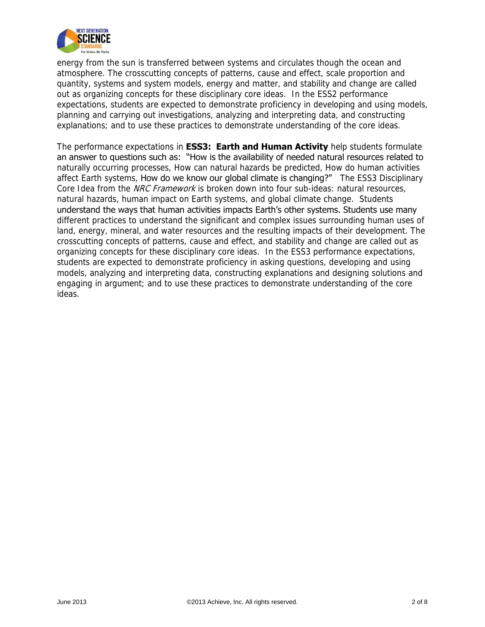

energy from the sun is transferred between systems and circulates though the ocean and atmosphere. The crosscutting concepts of patterns, cause and effect, scale proportion and quantity, systems and system models, energy and matter, and stability and change are called out as organizing concepts for these disciplinary core ideas. In the ESS2 performance expectations, students are expected to demonstrate proficiency in developing and using models, planning and carrying out investigations, analyzing and interpreting data, and constructing explanations; and to use these practices to demonstrate understanding of the core ideas.

The performance expectations in **ESS3: Earth and Human Activity** help students formulate an answer to questions such as: "How is the availability of needed natural resources related to naturally occurring processes, How can natural hazards be predicted, How do human activities affect Earth systems, How do we know our global climate is changing?" The ESS3 Disciplinary Core Idea from the NRC Framework is broken down into four sub-ideas: natural resources, natural hazards, human impact on Earth systems, and global climate change. Students understand the ways that human activities impacts Earth's other systems. Students use many different practices to understand the significant and complex issues surrounding human uses of land, energy, mineral, and water resources and the resulting impacts of their development. The crosscutting concepts of patterns, cause and effect, and stability and change are called out as organizing concepts for these disciplinary core ideas. In the ESS3 performance expectations, students are expected to demonstrate proficiency in asking questions, developing and using models, analyzing and interpreting data, constructing explanations and designing solutions and engaging in argument; and to use these practices to demonstrate understanding of the core ideas.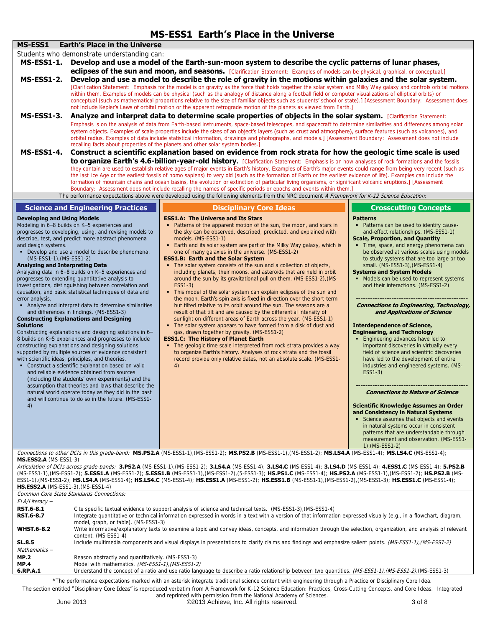# **MS-ESS1 Earth's Place in the Universe**

| MS-ESS1                                   | <b>Earth's Place in the Universe</b>                                                                                                                                             |                                                                                                                                                                                                                                                                                                                                                        |                                                                                          |  |
|-------------------------------------------|----------------------------------------------------------------------------------------------------------------------------------------------------------------------------------|--------------------------------------------------------------------------------------------------------------------------------------------------------------------------------------------------------------------------------------------------------------------------------------------------------------------------------------------------------|------------------------------------------------------------------------------------------|--|
|                                           | Students who demonstrate understanding can:                                                                                                                                      |                                                                                                                                                                                                                                                                                                                                                        |                                                                                          |  |
| <b>MS-ESS1-1.</b>                         |                                                                                                                                                                                  | Develop and use a model of the Earth-sun-moon system to describe the cyclic patterns of lunar phases,                                                                                                                                                                                                                                                  |                                                                                          |  |
|                                           |                                                                                                                                                                                  | eclipses of the sun and moon, and seasons. [Clarification Statement: Examples of models can be physical, graphical, or conceptual.]                                                                                                                                                                                                                    |                                                                                          |  |
| <b>MS-ESS1-2.</b>                         |                                                                                                                                                                                  | Develop and use a model to describe the role of gravity in the motions within galaxies and the solar system.                                                                                                                                                                                                                                           |                                                                                          |  |
|                                           |                                                                                                                                                                                  | [Clarification Statement: Emphasis for the model is on gravity as the force that holds together the solar system and Milky Way galaxy and controls orbital motions<br>within them. Examples of models can be physical (such as the analogy of distance along a football field or computer visualizations of elliptical orbits) or                      |                                                                                          |  |
|                                           |                                                                                                                                                                                  | conceptual (such as mathematical proportions relative to the size of familiar objects such as students' school or state).] [Assessment Boundary: Assessment does                                                                                                                                                                                       |                                                                                          |  |
|                                           |                                                                                                                                                                                  | not include Kepler's Laws of orbital motion or the apparent retrograde motion of the planets as viewed from Earth.]                                                                                                                                                                                                                                    |                                                                                          |  |
| <b>MS-ESS1-3.</b>                         |                                                                                                                                                                                  | Analyze and interpret data to determine scale properties of objects in the solar system. [Clarification Statement:                                                                                                                                                                                                                                     |                                                                                          |  |
|                                           |                                                                                                                                                                                  | Emphasis is on the analysis of data from Earth-based instruments, space-based telescopes, and spacecraft to determine similarities and differences among solar                                                                                                                                                                                         |                                                                                          |  |
|                                           |                                                                                                                                                                                  | system objects. Examples of scale properties include the sizes of an object's layers (such as crust and atmosphere), surface features (such as volcanoes), and                                                                                                                                                                                         |                                                                                          |  |
|                                           |                                                                                                                                                                                  | orbital radius. Examples of data include statistical information, drawings and photographs, and models.] [Assessment Boundary: Assessment does not include<br>recalling facts about properties of the planets and other solar system bodies.]                                                                                                          |                                                                                          |  |
| MS-ESS1-4.                                |                                                                                                                                                                                  | Construct a scientific explanation based on evidence from rock strata for how the geologic time scale is used                                                                                                                                                                                                                                          |                                                                                          |  |
|                                           |                                                                                                                                                                                  | to organize Earth's 4.6-billion-year-old history. [Clarification Statement: Emphasis is on how analyses of rock formations and the fossils                                                                                                                                                                                                             |                                                                                          |  |
|                                           |                                                                                                                                                                                  | they contain are used to establish relative ages of major events in Earth's history. Examples of Earth's major events could range from being very recent (such as                                                                                                                                                                                      |                                                                                          |  |
|                                           |                                                                                                                                                                                  | the last Ice Age or the earliest fossils of homo sapiens) to very old (such as the formation of Earth or the earliest evidence of life). Examples can include the                                                                                                                                                                                      |                                                                                          |  |
|                                           |                                                                                                                                                                                  | formation of mountain chains and ocean basins, the evolution or extinction of particular living organisms, or significant volcanic eruptions.] [Assessment<br>Boundary: Assessment does not include recalling the names of specific periods or epochs and events within them.                                                                          |                                                                                          |  |
|                                           |                                                                                                                                                                                  | The performance expectations above were developed using the following elements from the NRC document A Framework for K-12 Science Education:                                                                                                                                                                                                           |                                                                                          |  |
|                                           | <b>Science and Engineering Practices</b>                                                                                                                                         |                                                                                                                                                                                                                                                                                                                                                        | <b>Crosscutting Concepts</b>                                                             |  |
|                                           |                                                                                                                                                                                  | <b>Disciplinary Core Ideas</b>                                                                                                                                                                                                                                                                                                                         |                                                                                          |  |
| <b>Developing and Using Models</b>        |                                                                                                                                                                                  | <b>ESS1.A: The Universe and Its Stars</b>                                                                                                                                                                                                                                                                                                              | <b>Patterns</b>                                                                          |  |
|                                           | Modeling in 6-8 builds on K-5 experiences and<br>progresses to developing, using, and revising models to                                                                         | • Patterns of the apparent motion of the sun, the moon, and stars in<br>the sky can be observed, described, predicted, and explained with                                                                                                                                                                                                              | • Patterns can be used to identify cause-<br>and-effect relationships. (MS-ESS1-1)       |  |
|                                           | describe, test, and predict more abstract phenomena                                                                                                                              | models. (MS-ESS1-1)                                                                                                                                                                                                                                                                                                                                    | <b>Scale, Proportion, and Quantity</b>                                                   |  |
| and design systems.                       |                                                                                                                                                                                  | • Earth and its solar system are part of the Milky Way galaxy, which is                                                                                                                                                                                                                                                                                | • Time, space, and energy phenomena can                                                  |  |
| (MS-ESS1-1), (MS-ESS1-2)                  | • Develop and use a model to describe phenomena.                                                                                                                                 | one of many galaxies in the universe. (MS-ESS1-2)<br><b>ESS1.B: Earth and the Solar System</b>                                                                                                                                                                                                                                                         | be observed at various scales using models<br>to study systems that are too large or too |  |
| <b>Analyzing and Interpreting Data</b>    |                                                                                                                                                                                  | • The solar system consists of the sun and a collection of objects,                                                                                                                                                                                                                                                                                    | small. (MS-ESS1-3), (MS-ESS1-4)                                                          |  |
|                                           | Analyzing data in 6-8 builds on K-5 experiences and                                                                                                                              | including planets, their moons, and asteroids that are held in orbit                                                                                                                                                                                                                                                                                   | <b>Systems and System Models</b>                                                         |  |
|                                           | progresses to extending quantitative analysis to                                                                                                                                 | around the sun by its gravitational pull on them. (MS-ESS1-2), (MS-                                                                                                                                                                                                                                                                                    | • Models can be used to represent systems                                                |  |
|                                           | investigations, distinguishing between correlation and<br>causation, and basic statistical techniques of data and                                                                | ESS1-3)<br>• This model of the solar system can explain eclipses of the sun and                                                                                                                                                                                                                                                                        | and their interactions. (MS-ESS1-2)                                                      |  |
| error analysis.                           |                                                                                                                                                                                  | the moon. Earth's spin axis is fixed in direction over the short-term                                                                                                                                                                                                                                                                                  |                                                                                          |  |
|                                           | Analyze and interpret data to determine similarities                                                                                                                             | but tilted relative to its orbit around the sun. The seasons are a                                                                                                                                                                                                                                                                                     | <b>Connections to Engineering, Technology,</b>                                           |  |
|                                           | and differences in findings. (MS-ESS1-3)<br><b>Constructing Explanations and Designing</b>                                                                                       | result of that tilt and are caused by the differential intensity of<br>sunlight on different areas of Earth across the year. (MS-ESS1-1)                                                                                                                                                                                                               | and Applications of Science                                                              |  |
| <b>Solutions</b>                          |                                                                                                                                                                                  | • The solar system appears to have formed from a disk of dust and                                                                                                                                                                                                                                                                                      | <b>Interdependence of Science,</b>                                                       |  |
|                                           | Constructing explanations and designing solutions in 6-                                                                                                                          | gas, drawn together by gravity. (MS-ESS1-2)                                                                                                                                                                                                                                                                                                            | <b>Engineering, and Technology</b>                                                       |  |
|                                           | 8 builds on K-5 experiences and progresses to include                                                                                                                            | <b>ESS1.C: The History of Planet Earth</b>                                                                                                                                                                                                                                                                                                             | • Engineering advances have led to                                                       |  |
|                                           | constructing explanations and designing solutions<br>supported by multiple sources of evidence consistent                                                                        | • The geologic time scale interpreted from rock strata provides a way<br>to organize Earth's history. Analyses of rock strata and the fossil                                                                                                                                                                                                           | important discoveries in virtually every<br>field of science and scientific discoveries  |  |
|                                           | with scientific ideas, principles, and theories.                                                                                                                                 | record provide only relative dates, not an absolute scale. (MS-ESS1-                                                                                                                                                                                                                                                                                   | have led to the development of entire                                                    |  |
|                                           | • Construct a scientific explanation based on valid                                                                                                                              | 4)                                                                                                                                                                                                                                                                                                                                                     | industries and engineered systems. (MS-                                                  |  |
|                                           | and reliable evidence obtained from sources<br>(including the students' own experiments) and the                                                                                 |                                                                                                                                                                                                                                                                                                                                                        | ESS1-3)                                                                                  |  |
|                                           | assumption that theories and laws that describe the                                                                                                                              |                                                                                                                                                                                                                                                                                                                                                        |                                                                                          |  |
|                                           | natural world operate today as they did in the past                                                                                                                              |                                                                                                                                                                                                                                                                                                                                                        | <b>Connections to Nature of Science</b>                                                  |  |
|                                           | and will continue to do so in the future. (MS-ESS1-                                                                                                                              |                                                                                                                                                                                                                                                                                                                                                        |                                                                                          |  |
| 4)                                        |                                                                                                                                                                                  |                                                                                                                                                                                                                                                                                                                                                        | Scientific Knowledge Assumes an Order<br>and Consistency in Natural Systems              |  |
|                                           |                                                                                                                                                                                  |                                                                                                                                                                                                                                                                                                                                                        | • Science assumes that objects and events                                                |  |
|                                           |                                                                                                                                                                                  |                                                                                                                                                                                                                                                                                                                                                        | in natural systems occur in consistent                                                   |  |
|                                           |                                                                                                                                                                                  |                                                                                                                                                                                                                                                                                                                                                        | patterns that are understandable through<br>measurement and observation. (MS-ESS1-       |  |
|                                           |                                                                                                                                                                                  |                                                                                                                                                                                                                                                                                                                                                        | 1), (MS-ESS1-2)                                                                          |  |
|                                           |                                                                                                                                                                                  | Connections to other DCIs in this grade-band: MS.PS2.A (MS-ESS1-1), (MS-ESS1-2); MS.PS2.B (MS-ESS1-1), (MS-ESS1-2); MS.LS4.A (MS-ESS1-4); MS.LS4.C (MS-ESS1-4);                                                                                                                                                                                        |                                                                                          |  |
| <b>MS.ESS2.A</b> (MS-ESS1-3)              |                                                                                                                                                                                  |                                                                                                                                                                                                                                                                                                                                                        |                                                                                          |  |
|                                           |                                                                                                                                                                                  | Articulation of DCIs across grade-bands: 3.PS2.A (MS-ESS1-1),(MS-ESS1-2); 3.LS4.A (MS-ESS1-4); 3.LS4.C (MS-ESS1-4); 3.LS4.D (MS-ESS1-4); 4.ESS1-4); 4.ESS1.C (MS-ESS1-4); 5.PS2.B<br>(MS-ESS1-1),(MS-ESS1-2); 5.ESS1.A (MS-ESS1-2); 5.ESS1.B (MS-ESS1-1),(MS-ESS1-2),(5-ESS1-3); HS.PS1.C (MS-ESS1-4); HS.PS2.A (MS-ESS1-1),(MS-ESS1-2); HS.PS2.B (MS- |                                                                                          |  |
|                                           |                                                                                                                                                                                  | ESS1-1),(MS-ESS1-2); HS.LS4.A (MS-ESS1-4); HS.LS4.C (MS-ESS1-4); HS.ESS1.A (MS-ESS1-2); HS.ESS1.B (MS-ESS1-1),(MS-ESS1-2),(MS-ESS1-3); HS.ESS1.C (MS-ESS1-4);                                                                                                                                                                                          |                                                                                          |  |
| <b>HS.ESS2.A</b> (MS-ESS1-3), (MS-ESS1-4) |                                                                                                                                                                                  |                                                                                                                                                                                                                                                                                                                                                        |                                                                                          |  |
|                                           | Common Core State Standards Connections:                                                                                                                                         |                                                                                                                                                                                                                                                                                                                                                        |                                                                                          |  |
| ELA/Literacy -<br>RST.6-8.1               |                                                                                                                                                                                  | Cite specific textual evidence to support analysis of science and technical texts. (MS-ESS1-3), (MS-ESS1-4)                                                                                                                                                                                                                                            |                                                                                          |  |
| RST.6-8.7                                 |                                                                                                                                                                                  | Integrate quantitative or technical information expressed in words in a text with a version of that information expressed visually (e.g., in a flowchart, diagram,                                                                                                                                                                                     |                                                                                          |  |
|                                           | model, graph, or table). (MS-ESS1-3)                                                                                                                                             |                                                                                                                                                                                                                                                                                                                                                        |                                                                                          |  |
| <b>WHST.6-8.2</b>                         |                                                                                                                                                                                  | Write informative/explanatory texts to examine a topic and convey ideas, concepts, and information through the selection, organization, and analysis of relevant                                                                                                                                                                                       |                                                                                          |  |
| <b>SL.8.5</b>                             | content. (MS-ESS1-4)<br>Include multimedia components and visual displays in presentations to clarify claims and findings and emphasize salient points. (MS-ESS1-1), (MS-ESS1-2) |                                                                                                                                                                                                                                                                                                                                                        |                                                                                          |  |
| Mathematics –                             |                                                                                                                                                                                  |                                                                                                                                                                                                                                                                                                                                                        |                                                                                          |  |
| <b>MP.2</b>                               |                                                                                                                                                                                  | Reason abstractly and quantitatively. (MS-ESS1-3)                                                                                                                                                                                                                                                                                                      |                                                                                          |  |
| <b>MP.4</b>                               | Model with mathematics. (MS-ESS1-1), (MS-ESS1-2)                                                                                                                                 |                                                                                                                                                                                                                                                                                                                                                        |                                                                                          |  |
| 6.RP.A.1                                  |                                                                                                                                                                                  | Understand the concept of a ratio and use ratio language to describe a ratio relationship between two quantities. (MS-ESS1-1), (MS-ESS1-2), (MS-ESS1-3)                                                                                                                                                                                                |                                                                                          |  |
|                                           |                                                                                                                                                                                  | *The performance expectations marked with an asterisk integrate traditional science content with engineering through a Practice or Disciplinary Core Idea.<br>The section entitled "Disciplinary Core Ideas" is reproduced verbatim from A Framework for K-12 Science Education: Practices, Cross-Cutting Concepts, and Core Ideas. Integrated         |                                                                                          |  |

and reprinted with permission from the National Academy of Sciences. June 2013 ©2013 Achieve, Inc. All rights reserved. 3 of 8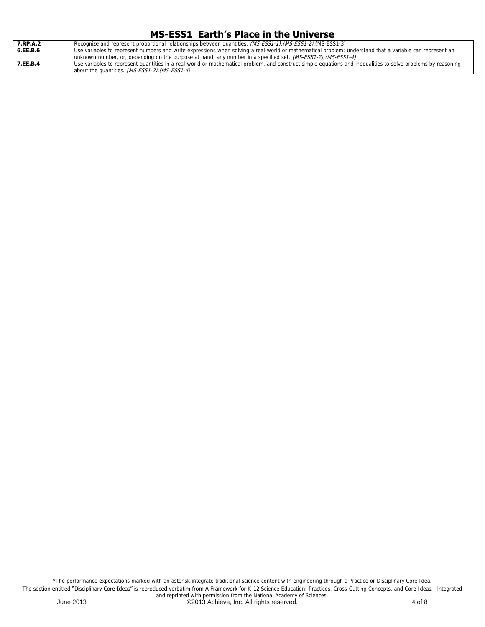# **MS-ESS1 Earth's Place in the Universe**

**7.RP.A.2** Recognize and represent proportional relationships between quantities. *(MS-ESS1-1), (MS-ESS1-2)*, (MS-ESS1-3) **6.EE.B.6** Use variables to represent numbers and write expressions when solving a real-world or mathematical problem; understand that a variable can represent an unknown number, or, depending on the purpose at hand, any number in a specified set. (MS-ESS1-2), (MS-ESS1-4) **7.EE.B.4** Use variables to represent quantities in a real-world or mathematical problem, and construct simple equations and inequalities to solve problems by reasoning about the quantities. (MS-ESS1-2), (MS-ESS1-4)

\*The performance expectations marked with an asterisk integrate traditional science content with engineering through a Practice or Disciplinary Core Idea. The section entitled "Disciplinary Core Ideas" is reproduced verbatim from A Framework for K-12 Science Education: Practices, Cross-Cutting Concepts, and Core Ideas. Integrated and reprinted with permission from the National Academy of Sciences.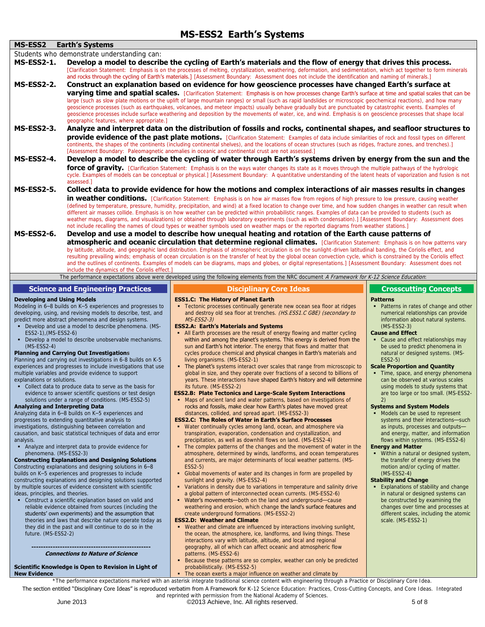# **MS-ESS2 Earth's Systems**

**MS-ESS2 Earth's Systems** Students who demonstrate understanding can:

**MS-ESS2-1. Develop a model to describe the cycling of Earth's materials and the flow of energy that drives this process.** [Clarification Statement: Emphasis is on the processes of melting, crystallization, weathering, deformation, and sedimentation, which act together to form minerals and rocks through the cycling of Earth's materials.] [Assessment Boundary: Assessment does not include the identification and naming of minerals.] **MS-ESS2-2. Construct an explanation based on evidence for how geoscience processes have changed Earth's surface at varying time and spatial scales.** [Clarification Statement: Emphasis is on how processes change Earth's surface at time and spatial scales that can be large (such as slow plate motions or the uplift of large mountain ranges) or small (such as rapid landslides or microscopic geochemical reactions), and how many geoscience processes (such as earthquakes, volcanoes, and meteor impacts) usually behave gradually but are punctuated by catastrophic events. Examples of

geoscience processes include surface weathering and deposition by the movements of water, ice, and wind. Emphasis is on geoscience processes that shape local geographic features, where appropriate.]

- **MS-ESS2-3. Analyze and interpret data on the distribution of fossils and rocks, continental shapes, and seafloor structures to provide evidence of the past plate motions.** [Clarification Statement: Examples of data include similarities of rock and fossil types on different continents, the shapes of the continents (including continental shelves), and the locations of ocean structures (such as ridges, fracture zones, and trenches).] [Assessment Boundary: Paleomagnetic anomalies in oceanic and continental crust are not assessed.]
- **MS-ESS2-4. Develop a model to describe the cycling of water through Earth's systems driven by energy from the sun and the**  force of gravity. [Clarification Statement: Emphasis is on the ways water changes its state as it moves through the multiple pathways of the hydrologic cycle. Examples of models can be conceptual or physical.] [Assessment Boundary: A quantitative understanding of the latent heats of vaporization and fusion is not assessed.]

#### **MS-ESS2-5. Collect data to provide evidence for how the motions and complex interactions of air masses results in changes in weather conditions.** [Clarification Statement: Emphasis is on how air masses flow from regions of high pressure to low pressure, causing weather (defined by temperature, pressure, humidity, precipitation, and wind) at a fixed location to change over time, and how sudden changes in weather can result when different air masses collide. Emphasis is on how weather can be predicted within probabilistic ranges. Examples of data can be provided to students (such as weather maps, diagrams, and visualizations) or obtained through laboratory experiments (such as with condensation).] [Assessment Boundary: Assessment does not include recalling the names of cloud types or weather symbols used on weather maps or the reported diagrams from weather stations.]

**MS-ESS2-6. Develop and use a model to describe how unequal heating and rotation of the Earth cause patterns of atmospheric and oceanic circulation that determine regional climates.** [Clarification Statement: Emphasis is on how patterns vary by latitude, altitude, and geographic land distribution. Emphasis of atmospheric circulation is on the sunlight-driven latitudinal banding, the Coriolis effect, and resulting prevailing winds; emphasis of ocean circulation is on the transfer of heat by the global ocean convection cycle, which is constrained by the Coriolis effect and the outlines of continents. Examples of models can be diagrams, maps and globes, or digital representations.] [Assessment Boundary: Assessment does not include the dynamics of the Coriolis effect.]

The performance expectations above were developed using the following elements from the NRC document A Framework for K-12 Science Education:

# **Science and Engineering Practices**

# **Developing and Using Models**

Modeling in 6–8 builds on K–5 experiences and progresses to developing, using, and revising models to describe, test, and predict more abstract phenomena and design systems.

- Develop and use a model to describe phenomena. (MS-ESS2-1),(MS-ESS2-6)
- Develop a model to describe unobservable mechanisms. (MS-ESS2-4)

### **Planning and Carrying Out Investigations**

Planning and carrying out investigations in 6-8 builds on K-5 experiences and progresses to include investigations that use multiple variables and provide evidence to support explanations or solutions.

 Collect data to produce data to serve as the basis for evidence to answer scientific questions or test design solutions under a range of conditions. (MS-ESS2-5)

## **Analyzing and Interpreting Data**

Analyzing data in 6–8 builds on K–5 experiences and progresses to extending quantitative analysis to investigations, distinguishing between correlation and causation, and basic statistical techniques of data and error analysis.

 Analyze and interpret data to provide evidence for phenomena. (MS-ESS2-3)

### **Constructing Explanations and Designing Solutions**

Constructing explanations and designing solutions in 6–8 builds on K–5 experiences and progresses to include constructing explanations and designing solutions supported by multiple sources of evidence consistent with scientific ideas, principles, and theories.

 Construct a scientific explanation based on valid and reliable evidence obtained from sources (including the students' own experiments) and the assumption that theories and laws that describe nature operate today as they did in the past and will continue to do so in the future. (MS-ESS2-2)

> **-------------------------------------------------- Connections to Nature of Science**

#### **Scientific Knowledge is Open to Revision in Light of New Evidence**

# **ESS1.C: The History of Planet Earth**

 Tectonic processes continually generate new ocean sea floor at ridges and destroy old sea floor at trenches. (HS.ESS1.C GBE) (secondary to MS-ESS2-3)

**Disciplinary Core Ideas**

- **ESS2.A: Earth's Materials and Systems**
- All Earth processes are the result of energy flowing and matter cycling within and among the planet's systems. This energy is derived from the sun and Earth's hot interior. The energy that flows and matter that cycles produce chemical and physical changes in Earth's materials and living organisms. (MS-ESS2-1)
- The planet's systems interact over scales that range from microscopic to global in size, and they operate over fractions of a second to billions of years. These interactions have shaped Earth's history and will determine its future. (MS-ESS2-2)

#### **ESS2.B: Plate Tectonics and Large-Scale System Interactions**

 Maps of ancient land and water patterns, based on investigations of rocks and fossils, make clear how Earth's plates have moved great distances, collided, and spread apart. (MS-ESS2-3)

#### **ESS2.C: The Roles of Water in Earth's Surface Processes**

- Water continually cycles among land, ocean, and atmosphere via transpiration, evaporation, condensation and crystallization, and precipitation, as well as downhill flows on land. (MS-ESS2-4)
- The complex patterns of the changes and the movement of water in the atmosphere, determined by winds, landforms, and ocean temperatures and currents, are major determinants of local weather patterns. (MS-ESS2-5)
- Global movements of water and its changes in form are propelled by sunlight and gravity. (MS-ESS2-4)
- Variations in density due to variations in temperature and salinity drive a global pattern of interconnected ocean currents. (MS-ESS2-6)
- Water's movements—both on the land and underground—cause weathering and erosion, which change the land's surface features and create underground formations. (MS-ESS2-2)

#### **ESS2.D: Weather and Climate**

- Weather and climate are influenced by interactions involving sunlight, the ocean, the atmosphere, ice, landforms, and living things. These interactions vary with latitude, altitude, and local and regional geography, all of which can affect oceanic and atmospheric flow patterns. (MS-ESS2-6)
- Because these patterns are so complex, weather can only be predicted probabilistically. (MS-ESS2-5)
- The ocean exerts a major influence on weather and climate by

The performance expectations marked with an asterisk integrate traditional science content with engineering through a Practice or Disciplinary Core Idea. The section entitled "Disciplinary Core Ideas" is reproduced verbatim from A Framework for K-12 Science Education: Practices, Cross-Cutting Concepts, and Core Ideas. Integrated and reprinted with permission from the National Academy of Sciences.

June 2013 ©2013 Achieve, Inc. All rights reserved. 5 of 8

# **Crosscutting Concepts**

## **Patterns**

 Patterns in rates of change and other numerical relationships can provide information about natural systems. (MS-ESS2-3)

# **Cause and Effect**

• Cause and effect relationships may be used to predict phenomena in natural or designed systems. (MS-ESS2-5)

## **Scale Proportion and Quantity**

 Time, space, and energy phenomena can be observed at various scales using models to study systems that are too large or too small. (MS-ESS2-  $2)$ 

## **Systems and System Models**

 Models can be used to represent systems and their interactions—such as inputs, processes and outputs and energy, matter, and information flows within systems. (MS-ESS2-6)

#### **Energy and Matter**

 Within a natural or designed system, the transfer of energy drives the motion and/or cycling of matter. (MS-ESS2-4)

#### **Stability and Change**

**Explanations of stability and change** in natural or designed systems can be constructed by examining the changes over time and processes at different scales, including the atomic scale. (MS-ESS2-1)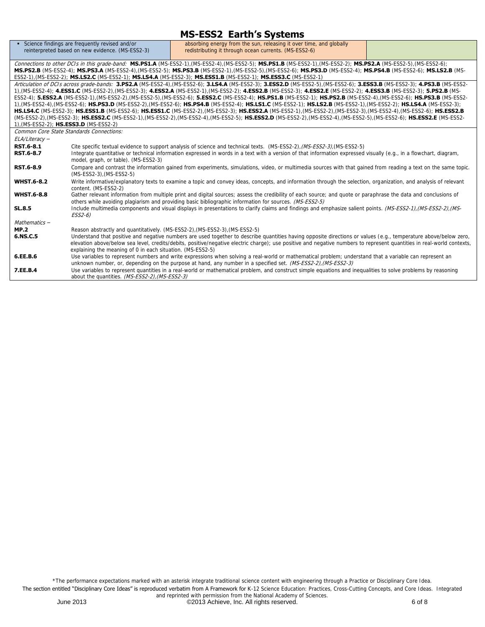# **MS-ESS2 Earth's Systems**

| Science findings are frequently revised and/or<br>reinterpreted based on new evidence. (MS-ESS2-3) | absorbing energy from the sun, releasing it over time, and globally<br>redistributing it through ocean currents. (MS-ESS2-6) |  |
|----------------------------------------------------------------------------------------------------|------------------------------------------------------------------------------------------------------------------------------|--|
|                                                                                                    |                                                                                                                              |  |

*Connections to other DCIs in this grade-band:* **MS.PS1.A** (MS-ESS2-1),(MS-ESS2-4),(MS-ESS2-5); **MS.PS1.B** (MS-ESS2-1),(MS-ESS2-2); **MS.PS2.A** (MS-ESS2-5),(MS-ESS2-6);<br>**MS.PS2.B** (MS-ESS2-4); **MS.PS3.A** (MS-ESS2-4),(MS-ESS ESS2-1),(MS-ESS2-2); **MS.LS2.C** (MS-ESS2-1); **MS.LS4.A** (MS-ESS2-3); **MS.ESS1.B** (MS-ESS2-1); **MS.ESS3.C** (MS-ESS2-1)

Articulation of DCIs across grade-bands: **3.PS2.A** (MS-ESS2-4),(MS-ESS2-6); **3.LS4.A** (MS-ESS2-3); **3.ESS2.D** (MS-ESS2-5),(MS-ESS2-6); **3.ESS3.B** (MS-ESS2-3); **4.PS3.B** (MS-ESS2- 1),(MS-ESS2-4); **4.ESS1.C** (MS-ESS2-2),(MS-ESS2-3); **4.ESS2.A** (MS-ESS2-1),(MS-ESS2-2); **4.ESS2.B** (MS-ESS2-3); **4.ESS2.E** (MS-ESS2-2); **4.ESS3.B** (MS-ESS2-3); **5.PS2.B** (MS-ESS2-4); **5.ESS2.A** (MS-ESS2-1),(MS-ESS2-2),(MS-ESS2-5),(MS-ESS2-6); **5.ESS2.C** (MS-ESS2-4); **HS.PS1.B** (MS-ESS2-1); **HS.PS2.B** (MS-ESS2-4),(MS-ESS2-6); **HS.PS3.B** (MS-ESS2- 1),(MS-ESS2-4),(MS-ESS2-6); **HS.PS3.D** (MS-ESS2-2),(MS-ESS2-6); **HS.PS4.B** (MS-ESS2-4); **HS.LS1.C** (MS-ESS2-1); **HS.LS2.B** (MS-ESS2-1),(MS-ESS2-2); **HS.LS4.A** (MS-ESS2-3); **HS.LS4.C** (MS-ESS2-3); **HS.ESS1.B** (MS-ESS2-6); **HS.ESS1.C** (MS-ESS2-2),(MS-ESS2-3); **HS.ESS2.A** (MS-ESS2-1),(MS-ESS2-2),(MS-ESS2-3),(MS-ESS2-4),(MS-ESS2-6); **HS.ESS2.B** (MS-ESS2-2),(MS-ESS2-3); **HS.ESS2.C** (MS-ESS2-1),(MS-ESS2-2),(MS-ESS2-4),(MS-ESS2-5); **HS.ESS2.D** (MS-ESS2-2),(MS-ESS2-4),(MS-ESS2-5),(MS-ESS2-6); **HS.ESS2.E** (MS-ESS2- 1),(MS-ESS2-2); **HS.ESS3.D** (MS-ESS2-2)

Common Core State Standards Connections:

| $ELA/Literacy -$  |                                                                                                                                                                                                                                                                                                                                                                                                          |
|-------------------|----------------------------------------------------------------------------------------------------------------------------------------------------------------------------------------------------------------------------------------------------------------------------------------------------------------------------------------------------------------------------------------------------------|
| <b>RST.6-8.1</b>  | Cite specific textual evidence to support analysis of science and technical texts. (MS-ESS2-2), (MS-ESS2-3), (MS-ESS2-5)                                                                                                                                                                                                                                                                                 |
| <b>RST.6-8.7</b>  | Integrate quantitative or technical information expressed in words in a text with a version of that information expressed visually (e.g., in a flowchart, diagram,<br>model, graph, or table). (MS-ESS2-3)                                                                                                                                                                                               |
| <b>RST.6-8.9</b>  | Compare and contrast the information gained from experiments, simulations, video, or multimedia sources with that gained from reading a text on the same topic.<br>(MS-ESS2-3), (MS-ESS2-5)                                                                                                                                                                                                              |
| <b>WHST.6-8.2</b> | Write informative/explanatory texts to examine a topic and convey ideas, concepts, and information through the selection, organization, and analysis of relevant<br>content. (MS-ESS2-2)                                                                                                                                                                                                                 |
| <b>WHST.6-8.8</b> | Gather relevant information from multiple print and digital sources; assess the credibility of each source; and quote or paraphrase the data and conclusions of<br>others while avoiding plagiarism and providing basic bibliographic information for sources. (MS-ESS2-5)                                                                                                                               |
| <b>SL.8.5</b>     | Include multimedia components and visual displays in presentations to clarify claims and findings and emphasize salient points. (MS-ESS2-1), (MS-ESS2-2), (MS-<br>ESS2-6)                                                                                                                                                                                                                                |
| $Mathematics -$   |                                                                                                                                                                                                                                                                                                                                                                                                          |
| MP.2              | Reason abstractly and quantitatively. (MS-ESS2-2), (MS-ESS2-3), (MS-ESS2-5)                                                                                                                                                                                                                                                                                                                              |
| 6.NS.C.5          | Understand that positive and negative numbers are used together to describe quantities having opposite directions or values (e.g., temperature above/below zero,<br>elevation above/below sea level, credits/debits, positive/negative electric charge); use positive and negative numbers to represent quantities in real-world contexts,<br>explaining the meaning of 0 in each situation. (MS-ESS2-5) |
| 6.EE.B.6          | Use variables to represent numbers and write expressions when solving a real-world or mathematical problem; understand that a variable can represent an<br>unknown number, or, depending on the purpose at hand, any number in a specified set. (MS-ESS2-2), (MS-ESS2-3)                                                                                                                                 |
| 7.EE.B.4          | Use variables to represent quantities in a real-world or mathematical problem, and construct simple equations and inequalities to solve problems by reasoning<br>about the quantities. (MS-ESS2-2), (MS-ESS2-3)                                                                                                                                                                                          |

\*The performance expectations marked with an asterisk integrate traditional science content with engineering through a Practice or Disciplinary Core Idea. The section entitled "Disciplinary Core Ideas" is reproduced verbatim from A Framework for K-12 Science Education: Practices, Cross-Cutting Concepts, and Core Ideas. Integrated and reprinted with permission from the National Academy of Sciences.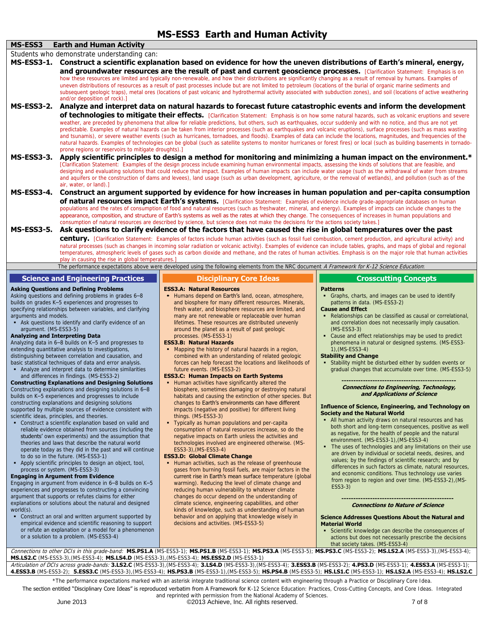Students who demonstrate understanding can: **MS-ESS3-1. Construct a scientific explanation based on evidence for how the uneven distributions of Earth's mineral, energy,** 

**MS-ESS3 Earth and Human Activity**

- **and groundwater resources are the result of past and current geoscience processes.** [Clarification Statement: Emphasis is on how these resources are limited and typically non-renewable, and how their distributions are significantly changing as a result of removal by humans. Examples of uneven distributions of resources as a result of past processes include but are not limited to petroleum (locations of the burial of organic marine sediments and subsequent geologic traps), metal ores (locations of past volcanic and hydrothermal activity associated with subduction zones), and soil (locations of active weathering and/or deposition of rock).]
- **MS-ESS3-2. Analyze and interpret data on natural hazards to forecast future catastrophic events and inform the development of technologies to mitigate their effects.** [Clarification Statement: Emphasis is on how some natural hazards, such as volcanic eruptions and severe weather, are preceded by phenomena that allow for reliable predictions, but others, such as earthquakes, occur suddenly and with no notice, and thus are not yet predictable. Examples of natural hazards can be taken from interior processes (such as earthquakes and volcanic eruptions), surface processes (such as mass wasting and tsunamis), or severe weather events (such as hurricanes, tornadoes, and floods). Examples of data can include the locations, magnitudes, and frequencies of the natural hazards. Examples of technologies can be global (such as satellite systems to monitor hurricanes or forest fires) or local (such as building basements in tornadoprone regions or reservoirs to mitigate droughts).]
- **MS-ESS3-3. Apply scientific principles to design a method for monitoring and minimizing a human impact on the environment.\*** [Clarification Statement: Examples of the design process include examining human environmental impacts, assessing the kinds of solutions that are feasible, and designing and evaluating solutions that could reduce that impact. Examples of human impacts can include water usage (such as the withdrawal of water from streams and aquifers or the construction of dams and levees), land usage (such as urban development, agriculture, or the removal of wetlands), and pollution (such as of the air, water, or land).]

#### **MS-ESS3-4. Construct an argument supported by evidence for how increases in human population and per-capita consumption of natural resources impact Earth's systems.** [Clarification Statement: Examples of evidence include grade-appropriate databases on human populations and the rates of consumption of food and natural resources (such as freshwater, mineral, and energy). Examples of impacts can include changes to the appearance, composition, and structure of Earth's systems as well as the rates at which they change. The consequences of increases in human populations and consumption of natural resources are described by science, but science does not make the decisions for the actions society takes.]

# **MS-ESS3-5. Ask questions to clarify evidence of the factors that have caused the rise in global temperatures over the past**

**century.** [Clarification Statement: Examples of factors include human activities (such as fossil fuel combustion, cement production, and agricultural activity) and natural processes (such as changes in incoming solar radiation or volcanic activity). Examples of evidence can include tables, graphs, and maps of global and regional temperatures, atmospheric levels of gases such as carbon dioxide and methane, and the rates of human activities. Emphasis is on the major role that human activities play in causing the rise in global temperatures.

The performance expectations above were developed using the following elements from the NRC document A Framework for K-12 Science Education:

# **Science and Engineering Practices**

### **Disciplinary Core Ideas**

# **Asking Questions and Defining Problems**

Asking questions and defining problems in grades 6–8 builds on grades K–5 experiences and progresses to specifying relationships between variables, and clarifying arguments and models.

 Ask questions to identify and clarify evidence of an argument. (MS-ESS3-5)

## **Analyzing and Interpreting Data**

Analyzing data in 6–8 builds on K–5 and progresses to extending quantitative analysis to investigations, distinguishing between correlation and causation, and basic statistical techniques of data and error analysis.

 Analyze and interpret data to determine similarities and differences in findings. (MS-ESS3-2)

**Constructing Explanations and Designing Solutions** Constructing explanations and designing solutions in 6–8 builds on K–5 experiences and progresses to include constructing explanations and designing solutions supported by multiple sources of evidence consistent with

scientific ideas, principles, and theories. Construct a scientific explanation based on valid and

- reliable evidence obtained from sources (including the students' own experiments) and the assumption that theories and laws that describe the natural world operate today as they did in the past and will continue to do so in the future. (MS-ESS3-1)
- Apply scientific principles to design an object, tool, process or system. (MS-ESS3-3)

## **Engaging in Argument from Evidence**

Engaging in argument from evidence in 6–8 builds on K–5 experiences and progresses to constructing a convincing argument that supports or refutes claims for either explanations or solutions about the natural and designed world(s).

 Construct an oral and written argument supported by empirical evidence and scientific reasoning to support or refute an explanation or a model for a phenomenon or a solution to a problem. (MS-ESS3-4)

#### **ESS3.A: Natural Resources** Humans depend on Earth's land, ocean, atmosphere, and biosphere for many different resources. Minerals, fresh water, and biosphere resources are limited, and many are not renewable or replaceable over human lifetimes. These resources are distributed unevenly around the planet as a result of past geologic

#### processes. (MS-ESS3-1) **ESS3.B: Natural Hazards**

**Mapping the history of natural hazards in a region,** combined with an understanding of related geologic forces can help forecast the locations and likelihoods of future events. (MS-ESS3-2)

# **ESS3.C: Human Impacts on Earth Systems**

- Human activities have significantly altered the biosphere, sometimes damaging or destroying natural habitats and causing the extinction of other species. But changes to Earth's environments can have different impacts (negative and positive) for different living things. (MS-ESS3-3)
- Typically as human populations and per-capita consumption of natural resources increase, so do the negative impacts on Earth unless the activities and technologies involved are engineered otherwise. (MS-ESS3-3),(MS-ESS3-4)

#### **ESS3.D: Global Climate Change**

 Human activities, such as the release of greenhouse gases from burning fossil fuels, are major factors in the current rise in Earth's mean surface temperature (global warming). Reducing the level of climate change and reducing human vulnerability to whatever climate changes do occur depend on the understanding of climate science, engineering capabilities, and other kinds of knowledge, such as understanding of human behavior and on applying that knowledge wisely in decisions and activities. (MS-ESS3-5)

# **Crosscutting Concepts**

## **Patterns**

 Graphs, charts, and images can be used to identify patterns in data. (MS-ESS3-2)

### **Cause and Effect**

- Relationships can be classified as causal or correlational, and correlation does not necessarily imply causation. (MS-ESS3-3)
- Cause and effect relationships may be used to predict phenomena in natural or designed systems. (MS-ESS3- 1),(MS-ESS3-4)

#### **Stability and Change**

 Stability might be disturbed either by sudden events or gradual changes that accumulate over time. (MS-ESS3-5)

#### **------------------------------------------------ Connections to Engineering, Technology, and Applications of Science**

#### **Influence of Science, Engineering, and Technology on Society and the Natural World**

- All human activity draws on natural resources and has both short and long-term consequences, positive as well as negative, for the health of people and the natural environment. (MS-ESS3-1),(MS-ESS3-4)
- The uses of technologies and any limitations on their use are driven by individual or societal needs, desires, and values; by the findings of scientific research; and by differences in such factors as climate, natural resources, and economic conditions. Thus technology use varies from region to region and over time. (MS-ESS3-2),(MS-ESS3-3)

#### **----------------------------------------------- Connections to Nature of Science**

#### **Science Addresses Questions About the Natural and Material World**

 Scientific knowledge can describe the consequences of actions but does not necessarily prescribe the decisions that society takes. (MS-ESS3-4)

Connections to other DCIs in this grade-band: **MS.PS1.A** (MS-ESS3-1); **MS.PS1.B** (MS-ESS3-1); **MS.PS3.A** (MS-ESS3-5); **MS.PS3.C** (MS-ESS3-2); **MS.LS2.A** (MS-ESS3-3),(MS-ESS3-4); **MS.LS2.C** (MS-ESS3-3),(MS-ESS3-4); **MS.LS4.D** (MS-ESS3-3),(MS-ESS3-4); **MS.ESS2.D** (MS-ESS3-1) Articulation of DCIs across grade-bands: **3.LS2.C** (MS-ESS3-3),(MS-ESS3-4); **3.LS4.D** (MS-ESS3-3),(MS-ESS3-4); **3.ESS3.B** (MS-ESS3-2); **4.PS3.D** (MS-ESS3-1); **4.ESS3.A** (MS-ESS3-1); **4.ESS3.B** (MS-ESS3-2); **5.ESS3.C** (MS-ESS3-3),(MS-ESS3-4); **HS.PS3.B** (MS-ESS3-1),(MS-ESS3-5); **HS.PS4.B** (MS-ESS3-5); **HS.LS1.C** (MS-ESS3-1); **HS.LS2.A** (MS-ESS3-4); **HS.LS2.C**

\*The performance expectations marked with an asterisk integrate traditional science content with engineering through a Practice or Disciplinary Core Idea. The section entitled "Disciplinary Core Ideas" is reproduced verbatim from A Framework for K-12 Science Education: Practices, Cross-Cutting Concepts, and Core Ideas. Integrated and reprinted with permission from the National Academy of Sciences.

June 2013 ©2013 Achieve, Inc. All rights reserved. 7 of 8